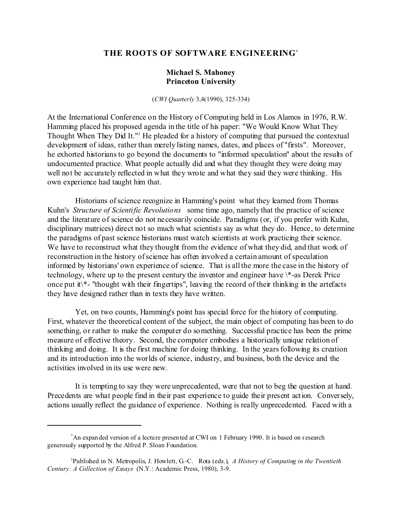# **THE ROOTS OF SOFTWARE ENGINEERING\***

## **Michael S. Mahoney Princeton University**

(*CWI Quarterly* 3,4(1990), 325-334)

At the International Conference on the History of Computing held in Los Alamos in 1976, R.W. Hamming placed his proposed agenda in the title of his paper: "We Would Know What They Thought When They Did It."<sup>1</sup> He pleaded for a history of computing that pursued the contextual development of ideas, rather than merely listing names, dates, and places of "firsts". Moreover, he exhorted historians to go beyond the documents to "informed speculation" about the results of undocumented practice. What people actually did and what they thought they were doing may well not be accurately reflected in what they wrote and what they said they were thinking. His own experience had taught him that.

 Historians of science recognize in Hamming's point what they learned from Thomas Kuhn's *Structure of Scientific Revolutions* some time ago, namely that the practice of science and the literature of science do not necessarily coincide. Paradigms (or, if you prefer with Kuhn, disciplinary matrices) direct not so much what scientists say as what they do. Hence, to determine the paradigms of past science historians must watch scientists at work practicing their science. We have to reconstruct what they thought from the evidence of what they did, and that work of reconstruction in the history of science has often involved a certain amount of speculation informed by historians' own experience of science. That is all the more the case in the history of technology, where up to the present century the inventor and engineer have \\*-as Derek Price once put it\\*- "thought with their fingertips", leaving the record of their thinking in the artefacts they have designed rather than in texts they have written.

 Yet, on two counts, Hamming's point has special force for the history of computing. First, whatever the theoretical content of the subject, the main object of computing has been to do something, or rather to make the computer do something. Successful practice has been the prime measure of effective theory. Second, the computer embodies a historically unique relation of thinking and doing. It is the first machine for doing thinking. In the years following its creation and its introduction into the worlds of science, industry, and business, both the device and the activities involved in its use were new.

 It is tempting to say they were unprecedented, were that not to beg the question at hand. Precedents are what people find in their past experience to guide their present action. Conversely, actions usually reflect the guidance of experience. Nothing is really unprecedented. Faced with a

<sup>\*</sup>An expanded version of a lecture presented at CWI on 1 February 1990. It is based on r esearch generously supported by the Alfred P. Sloan Foundation.

<sup>1</sup>Published in N. Metropolis, J. Howlett, G.-C. Rota (eds.), *A History of Computing in the Twentieth Century: A Collection of Essays* (N.Y.: Academic Press, 1980), 3-9.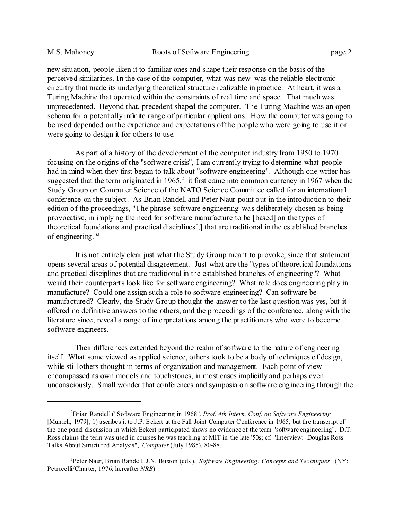new situation, people liken it to familiar ones and shape their response on the basis of the perceived similarities. In the case of the computer, what was new was the reliable electronic circuitry that made its underlying theoretical structure realizable in practice. At heart, it was a Turing Machine that operated within the constraints of real time and space. That much was unprecedented. Beyond that, precedent shaped the computer. The Turing Machine was an open schema for a potentially infinite range of particular applications. How the computer was going to be used depended on the experience and expectations of the people who were going to use it or were going to design it for others to use.

 As part of a history of the development of the computer industry from 1950 to 1970 focusing on the origins of the "software crisis", I am currently trying to determine what people had in mind when they first began to talk about "software engineering". Although one writer has suggested that the term originated in  $1965$ ,<sup>2</sup> it first came into common currency in 1967 when the Study Group on Computer Science of the NATO Science Committee called for an international conference on the subject. As Brian Randell and Peter Naur point out in the introduction to their edition of the proceedings, "The phrase 'software engineering' was deliberately chosen as being provocative, in implying the need for software manufacture to be [based] on the types of theoretical foundations and practical disciplines[,] that are traditional in the established branches of engineering."<sup>3</sup>

 It is not entirely clear just what the Study Group meant to provoke, since that statement opens several areas of potential disagreement. Just what are the "types of theoretical foundations and practical disciplines that are traditional in the established branches of engineering"? What would their counterparts look like for software engineering? What role does engineering play in manufacture? Could one assign such a role to software engineering? Can software be manufactured? Clearly, the Study Group thought the answer to the last question was yes, but it offered no definitive answers to the others, and the proceedings of the conference, along with the literature since, reveal a range of interpretations among the practitioners who were to become software engineers.

 Their differences extended beyond the realm of software to the nature of engineering itself. What some viewed as applied science, others took to be a body of techniques of design, while still others thought in terms of organization and management. Each point of view encompassed its own models and touchstones, in most cases implicitly and perhaps even unconsciously. Small wonder that conferences and symposia on software engineering through the

<sup>2</sup>Brian Randell ("Software Engineering in 1968", *Prof. 4th Intern. Conf. on Software Engineering* [Munich, 1979], 1) ascribes it to J.P. Eckert at the Fall Joint Computer Conference in 1965, but the transcript of the one panel discussion in which Eckert participated shows no evidence of the term "software engineering". D.T. Ross claims the term was used in courses he was teaching at MIT in the late '50s; cf. "Interview: Douglas Ross Talks About Structured Analysis", *Computer* (July 1985), 80-88.

<sup>3</sup>Peter Naur, Brian Randell, J.N. Buxton (eds.), *Software Engineering: Concepts and Techniques* (NY: Petrocelli/Charter, 1976; hereafter *NRB*).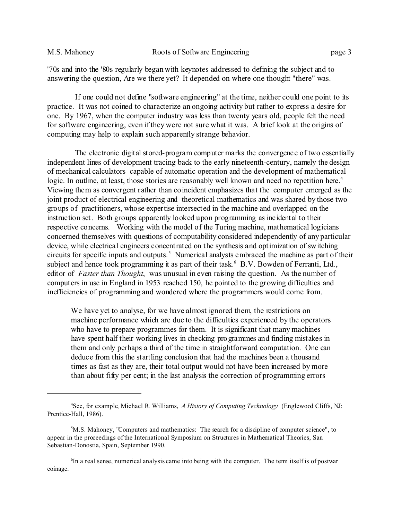'70s and into the '80s regularly began with keynotes addressed to defining the subject and to answering the question, Are we there yet? It depended on where one thought "there" was.

 If one could not define "software engineering" at the time, neither could one point to its practice. It was not coined to characterize an ongoing activity but rather to express a desire for one. By 1967, when the computer industry was less than twenty years old, people felt the need for software engineering, even if they were not sure what it was. A brief look at the origins of computing may help to explain such apparently strange behavior.

 The electronic digital stored-program computer marks the convergence of two essentially independent lines of development tracing back to the early nineteenth-century, namely the design of mechanical calculators capable of automatic operation and the development of mathematical logic. In outline, at least, those stories are reasonably well known and need no repetition here.<sup>4</sup> Viewing them as convergent rather than coincident emphasizes that the computer emerged as the joint product of electrical engineering and theoretical mathematics and was shared by those two groups of practitioners, whose expertise intersected in the machine and overlapped on the instruction set. Both groups apparently looked upon programming as incidental to their respective concerns. Working with the model of the Turing machine, mathematical logicians concerned themselves with questions of computability considered independently of any particular device, while electrical engineers concentrated on the synthesis and optimization of switching circuits for specific inputs and outputs.<sup>5</sup> Numerical analysts embraced the machine as part of their subject and hence took programming it as part of their task.<sup>6</sup> B.V. Bowden of Ferranti, Ltd., editor of *Faster than Thought*, was unusual in even raising the question. As the number of computers in use in England in 1953 reached 150, he pointed to the growing difficulties and inefficiencies of programming and wondered where the programmers would come from.

We have yet to analyse, for we have almost ignored them, the restrictions on machine performance which are due to the difficulties experienced by the operators who have to prepare programmes for them. It is significant that many machines have spent half their working lives in checking programmes and finding mistakes in them and only perhaps a third of the time in straightforward computation. One can deduce from this the startling conclusion that had the machines been a thousand times as fast as they are, their total output would not have been increased by more than about fifty per cent; in the last analysis the correction of programming errors

<sup>4</sup>See, for example, Michael R. Williams, *A History of Computing Technology* (Englewood Cliffs, NJ: Prentice-Hall, 1986).

 $<sup>5</sup>M.S.$  Mahoney, "Computers and mathematics: The search for a discipline of computer science", to</sup> appear in the proceedings of the International Symposium on Structures in Mathematical Theories, San Sebastian-Donostia, Spain, September 1990.

<sup>6</sup> In a real sense, numerical analysis came into being with the computer. The term itself is of postwar coinage.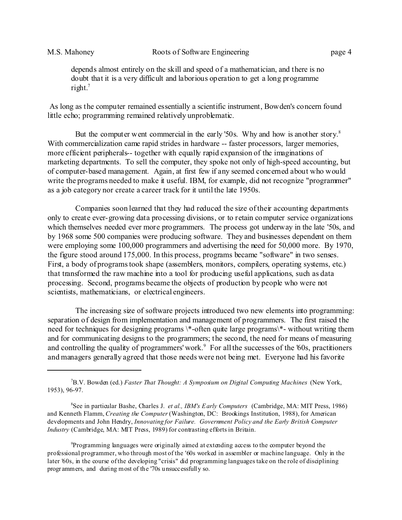depends almost entirely on the skill and speed of a mathematician, and there is no doubt that it is a very difficult and laborious operation to get a long programme right.<sup>7</sup>

 As long as the computer remained essentially a scientific instrument, Bowden's concern found little echo; programming remained relatively unproblematic.

But the computer went commercial in the early '50s. Why and how is another story.<sup>8</sup> With commercialization came rapid strides in hardware -- faster processors, larger memories, more efficient peripherals-- together with equally rapid expansion of the imaginations of marketing departments. To sell the computer, they spoke not only of high-speed accounting, but of computer-based management. Again, at first few if any seemed concerned about who would write the programs needed to make it useful. IBM, for example, did not recognize "programmer" as a job category nor create a career track for it until the late 1950s.

 Companies soon learned that they had reduced the size of their accounting departments only to create ever-growing data processing divisions, or to retain computer service organizations which themselves needed ever more programmers. The process got underway in the late '50s, and by 1968 some 500 companies were producing software. They and businesses dependent on them were employing some 100,000 programmers and advertising the need for 50,000 more. By 1970, the figure stood around 175,000. In this process, programs became "software" in two senses. First, a body of programs took shape (assemblers, monitors, compilers, operating systems, etc.) that transformed the raw machine into a tool for producing useful applications, such as data processing. Second, programs became the objects of production by people who were not scientists, mathematicians, or electrical engineers.

 The increasing size of software projects introduced two new elements into programming: separation of design from implementation and management of programmers. The first raised the need for techniques for designing programs \\*-often quite large programs\\*- without writing them and for communicating designs to the programmers; the second, the need for means of measuring and controlling the quality of programmers' work.<sup>9</sup> For all the successes of the '60s, practitioners and managers generally agreed that those needs were not being met. Everyone had his favorite

<sup>9</sup>Programming languages were originally aimed at extending access to the computer beyond the professional programmer, who through most of the '60s worked in assembler or machine language. Only in the later '60s, in the course of the developing "crisis" did programming languages take on the role of disciplining progr ammers, and during most of the '70s unsuccessfully so.

<sup>7</sup>B.V. Bowden (ed.) *Faster That Thought: A Symposium on Digital Computing Machines* (New York, 1953), 96-97.

<sup>8</sup>See in particular Bashe, Charles J. *et al., IBM's Early Computers* (Cambridge, MA: MIT Press, 1986) and Kenneth Flamm, *Creating the Computer* (Washington, DC: Brookings Institution, 1988), for American developments and John Hendry, *Innovating for Failure. Government Policy and the Early British Computer Industry* (Cambridge, MA: MIT Press, 1989) for contrasting efforts in Britain.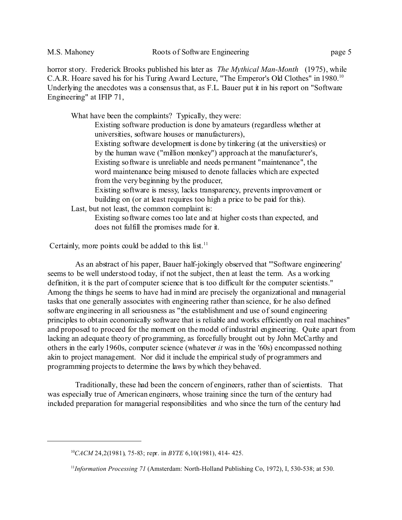horror story. Frederick Brooks published his later as *The Mythical Man-Month* (1975), while C.A.R. Hoare saved his for his Turing Award Lecture, "The Emperor's Old Clothes" in 1980.<sup>10</sup> Underlying the anecdotes was a consensus that, as F.L. Bauer put it in his report on "Software" Engineering" at IFIP 71,

What have been the complaints? Typically, they were:

Existing software production is done by amateurs (regardless whether at universities, software houses or manufacturers),

Existing software development is done by tinkering (at the universities) or by the human wave ("million monkey") approach at the manufacturer's, Existing software is unreliable and needs permanent "maintenance", the word maintenance being misused to denote fallacies which are expected from the very beginning by the producer,

Existing software is messy, lacks transparency, prevents improvement or building on (or at least requires too high a price to be paid for this).

Last, but not least, the common complaint is:

Existing software comes too late and at higher costs than expected, and does not fulfill the promises made for it.

Certainly, more points could be added to this list.<sup>11</sup>

 As an abstract of his paper, Bauer half-jokingly observed that "'Software engineering' seems to be well understood today, if not the subject, then at least the term. As a working definition, it is the part of computer science that is too difficult for the computer scientists." Among the things he seems to have had in mind are precisely the organizational and managerial tasks that one generally associates with engineering rather than science, for he also defined software engineering in all seriousness as "the establishment and use of sound engineering principles to obtain economically software that is reliable and works efficiently on real machines" and proposed to proceed for the moment on the model of industrial engineering. Quite apart from lacking an adequate theory of programming, as forcefully brought out by John McCarthy and others in the early 1960s, computer science (whatever *it* was in the '60s) encompassed nothing akin to project management. Nor did it include the empirical study of programmers and programming projects to determine the laws by which they behaved.

 Traditionally, these had been the concern of engineers, rather than of scientists. That was especially true of American engineers, whose training since the turn of the century had included preparation for managerial responsibilities and who since the turn of the century had

<sup>10</sup>*CACM* 24,2(1981), 75-83; repr. in *BYTE* 6,10(1981), 414- 425.

<sup>11</sup>*Information Processing 71* (Amsterdam: North-Holland Publishing Co, 1972), I, 530-538; at 530.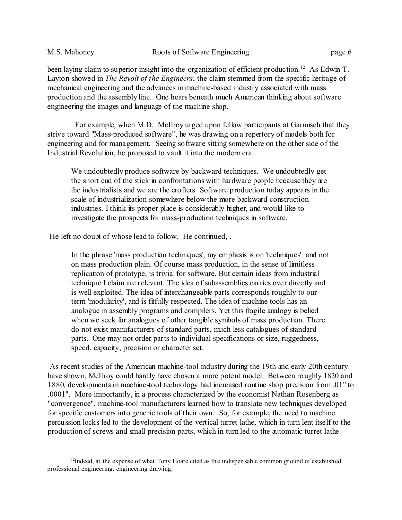been laying claim to superior insight into the organization of efficient production.<sup>12</sup> As Edwin T. Layton showed in *The Revolt of the Engineers*, the claim stemmed from the specific heritage of mechanical engineering and the advances in machine-based industry associated with mass production and the assembly line. One hears beneath much American thinking about software engineering the images and language of the machine shop.

 For example, when M.D. McIlroy urged upon fellow participants at Garmisch that they strive toward "Mass-produced software", he was drawing on a repertory of models both for engineering and for management. Seeing software sitting somewhere on the other side of the Industrial Revolution, he proposed to vault it into the modern era.

We undoubtedly produce software by backward techniques. We undoubtedly get the short end of the stick in confrontations with hardware people because they are the industrialists and we are the crofters. Software production today appears in the scale of industrialization somewhere below the more backward construction industries. I think its proper place is considerably higher, and would like to investigate the prospects for mass-production techniques in software.

He left no doubt of whose lead to follow. He continued, .

In the phrase 'mass production techniques', my emphasis is on 'techniques' and not on mass production plain. Of course mass production, in the sense of limitless replication of prototype, is trivial for software. But certain ideas from industrial technique I claim are relevant. The idea of subassemblies carries over directly and is well exploited. The idea of interchangeable parts corresponds roughly to our term 'modularity', and is fitfully respected. The idea of machine tools has an analogue in assembly programs and compilers. Yet this fragile analogy is belied when we seek for analogues of other tangible symbols of mass production. There do not exist manufacturers of standard parts, much less catalogues of standard parts. One may not order parts to individual specifications or size, ruggedness, speed, capacity, precision or character set.

 As recent studies of the American machine-tool industry during the 19th and early 20th century have shown, McIlroy could hardly have chosen a more potent model. Between roughly 1820 and 1880, developments in machine-tool technology had increased routine shop precision from .01" to .0001". More importantly, in a process characterized by the economist Nathan Rosenberg as "convergence", machine-tool manufacturers learned how to translate new techniques developed for specific customers into generic tools of their own. So, for example, the need to machine percussion locks led to the development of the vertical turret lathe, which in turn lent itself to the production of screws and small precision parts, which in turn led to the automatic turret lathe.

 $<sup>12</sup>$ Indeed, at the expense of what Tony Hoare cited as the indispensable common ground of established</sup> professional engineering: engineering drawing.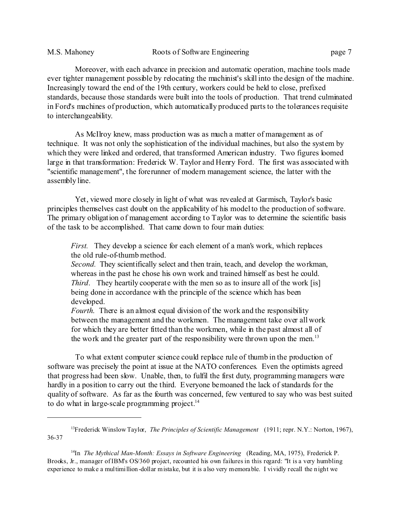Moreover, with each advance in precision and automatic operation, machine tools made ever tighter management possible by relocating the machinist's skill into the design of the machine. Increasingly toward the end of the 19th century, workers could be held to close, prefixed standards, because those standards were built into the tools of production. That trend culminated in Ford's machines of production, which automatically produced parts to the tolerances requisite to interchangeability.

 As McIlroy knew, mass production was as much a matter of management as of technique. It was not only the sophistication of the individual machines, but also the system by which they were linked and ordered, that transformed American industry. Two figures loomed large in that transformation: Frederick W. Taylor and Henry Ford. The first was associated with "scientific management", the forerunner of modern management science, the latter with the assembly line.

 Yet, viewed more closely in light of what was revealed at Garmisch, Taylor's basic principles themselves cast doubt on the applicability of his model to the production of software. The primary obligation of management according to Taylor was to determine the scientific basis of the task to be accomplished. That came down to four main duties:

*First.* They develop a science for each element of a man's work, which replaces the old rule-of-thumb method.

*Second.* They scientifically select and then train, teach, and develop the workman, whereas in the past he chose his own work and trained himself as best he could. *Third.* They heartily cooperate with the men so as to insure all of the work [is] being done in accordance with the principle of the science which has been developed.

*Fourth*. There is an almost equal division of the work and the responsibility between the management and the workmen. The management take over all work for which they are better fitted than the workmen, while in the past almost all of the work and the greater part of the responsibility were thrown upon the men.<sup>13</sup>

 To what extent computer science could replace rule of thumb in the production of software was precisely the point at issue at the NATO conferences. Even the optimists agreed that progress had been slow. Unable, then, to fulfil the first duty, programming managers were hardly in a position to carry out the third. Everyone bemoaned the lack of standards for the quality of software. As far as the fourth was concerned, few ventured to say who was best suited to do what in large-scale programming project.<sup>14</sup>

<sup>13</sup>Frederick Winslow Taylor, *The Principles of Scientific Management* (1911; repr. N.Y.: Norton, 1967), 36-37

<sup>&</sup>lt;sup>14</sup>In *The Mythical Man-Month: Essays in Software Engineering* (Reading, MA, 1975), Frederick P. Brooks, Jr., manager of IBM's OS/360 project, recounted his own failures in this regard: "It is a very humbling experience to make a multimillion-dollar mistake, but it is also very memorable. I vividly recall the night we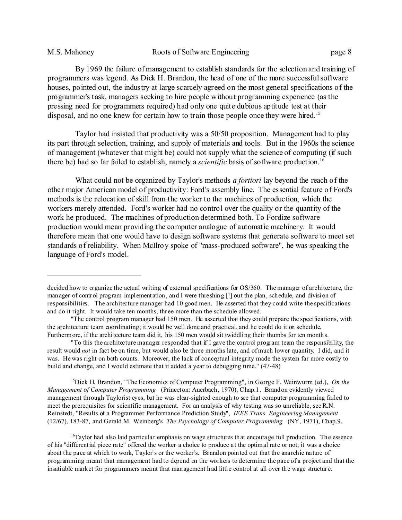By 1969 the failure of management to establish standards for the selection and training of programmers was legend. As Dick H. Brandon, the head of one of the more successful software houses, pointed out, the industry at large scarcely agreed on the most general specifications of the programmer's task, managers seeking to hire people without programming experience (as the pressing need for programmers required) had only one quite dubious aptitude test at their disposal, and no one knew for certain how to train those people once they were hired.<sup>15</sup>

 Taylor had insisted that productivity was a 50/50 proposition. Management had to play its part through selection, training, and supply of materials and tools. But in the 1960s the science of management (whatever that might be) could not supply what the science of computing (if such there be) had so far failed to establish, namely a *scientific* basis of software production.<sup>16</sup>

 What could not be organized by Taylor's methods *a fortiori* lay beyond the reach of the other major American model of productivity: Ford's assembly line. The essential feature of Ford's methods is the relocation of skill from the worker to the machines of production, which the workers merely attended. Ford's worker had no control over the quality or the quantity of the work he produced. The machines of production determined both. To Fordize software production would mean providing the computer analogue of automatic machinery. It would therefore mean that one would have to design software systems that generate software to meet set standards of reliability. When McIlroy spoke of "mass-produced software", he was speaking the language of Ford's model.

<sup>15</sup>Dick H. Brandon, "The Economics of Computer Programming", in George F. Weinwurm (ed.), *On the Management of Computer Programming* (Princeton: Auerbach, 1970), Chap.1. Brandon evidently viewed management through Taylorist eyes, but he was clear-sighted enough to see that computer programming failed to meet the prerequisites for scientific management. For an analysis of why testing was so unreliable, see R.N. Reinstedt, "Results of a Programmer Performance Prediction Study", *IEEE Trans. Engineering Management*  (12/67), 183-87, and Gerald M. Weinberg's *The Psychology of Computer Programming* (NY, 1971), Chap.9.

<sup>16</sup>Taylor had also laid particular emphasis on wage structures that encourage full production. The essence of his "differential piece ra te" offered the worker a choice to produce at the optimal rate or not; it was a choice about the pace at which to work, Taylor's or the worker's. Brandon poin ted out that the anarchic nature of programming meant that management had to depend on the workers to determine the pace of a project and that the insatiable market for programmers meant that management h ad little control at all over the wage structur e.

decided how to organize the actual writing of external specifications for OS/360. The manager of architecture, the manager of control program implementation, and I were threshing [!] out the plan, schedule, and division of responsibilities. The architecture manager had 10 good men. He asserted that they could write the specifications and do it right. It would take ten months, thr ee more than the schedule allowed.

<sup>&</sup>quot;The control program manager had 150 men. He asserted that they could prepare the specifications, with the architecture team coordinating; it would be well done and practical, and he could do it on schedule. Furthermore, if the architecture team did it, his 150 men would sit twiddling their thumbs for ten months.

<sup>&</sup>quot;To this the architecture manager responded that if I gave the control program team the responsibility, the result would *not* in fact be on time, but would also be three months late, and of much lower quantity. I did, and it was. He was right on both counts. Moreover, the lack of conceptual integrity made the system far more costly to build and change, and I would estimate that it added a year to debugging time." (47-48)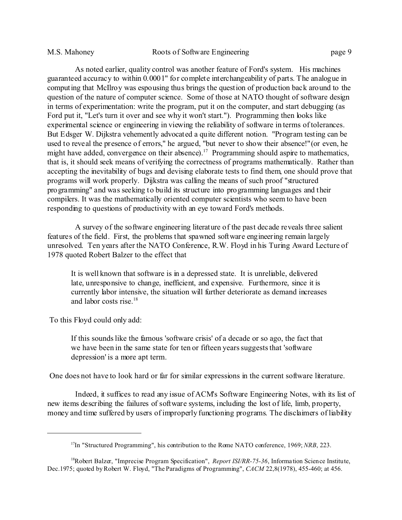As noted earlier, quality control was another feature of Ford's system. His machines guaranteed accuracy to within 0.0001" for complete interchangeability of parts. The analogue in computing that McIlroy was espousing thus brings the question of production back around to the question of the nature of computer science. Some of those at NATO thought of software design in terms of experimentation: write the program, put it on the computer, and start debugging (as Ford put it, "Let's turn it over and see why it won't start."). Programming then looks like experimental science or engineering in viewing the reliability of software in terms of tolerances. But Edsger W. Dijkstra vehemently advocated a quite different notion. "Program testing can be used to reveal the presence of errors," he argued, "but never to show their absence!"(or even, he might have added, convergence on their absence).<sup>17</sup> Programming should aspire to mathematics, that is, it should seek means of verifying the correctness of programs mathematically. Rather than accepting the inevitability of bugs and devising elaborate tests to find them, one should prove that programs will work properly. Dijkstra was calling the means of such proof "structured programming" and was seeking to build its structure into programming languages and their compilers. It was the mathematically oriented computer scientists who seem to have been responding to questions of productivity with an eye toward Ford's methods.

 A survey of the software engineering literature of the past decade reveals three salient features of the field. First, the problems that spawned software engineering remain largely unresolved. Ten years after the NATO Conference, R.W. Floyd in his Turing Award Lecture of 1978 quoted Robert Balzer to the effect that

It is well known that software is in a depressed state. It is unreliable, delivered late, unresponsive to change, inefficient, and expensive. Furthermore, since it is currently labor intensive, the situation will further deteriorate as demand increases and labor costs rise.<sup>18</sup>

To this Floyd could only add:

If this sounds like the famous 'software crisis' of a decade or so ago, the fact that we have been in the same state for ten or fifteen years suggests that 'software depression' is a more apt term.

One does not have to look hard or far for similar expressions in the current software literature.

 Indeed, it suffices to read any issue of ACM's Software Engineering Notes, with its list of new items describing the failures of software systems, including the lost of life, limb, property, money and time suffered by users of improperly functioning programs. The disclaimers of liability

<sup>17</sup>In "Structured Programming", his contribution to the Rome NATO conference, 1969; *NRB*, 223.

<sup>&</sup>lt;sup>18</sup>Robert Balzer, "Imprecise Program Specification", *Report ISI/RR-75-36*, Information Science Institute, Dec.1975; quoted by Robert W. Floyd, "The Paradigms of Programming", *CACM* 22,8(1978), 455-460; at 456.